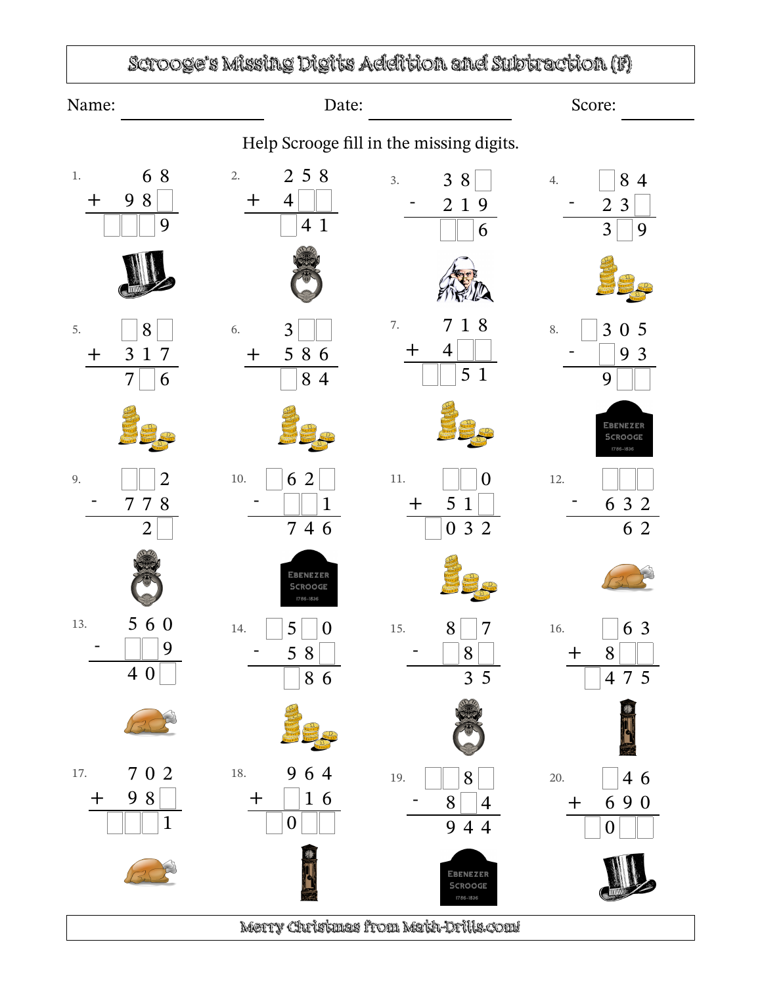

Merry Christmas from Math-Drills.com!